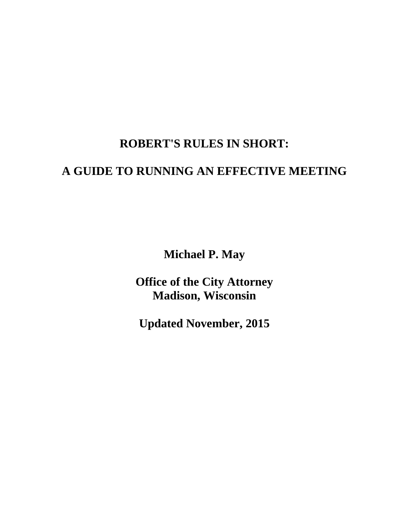# **ROBERT'S RULES IN SHORT:**

# **A GUIDE TO RUNNING AN EFFECTIVE MEETING**

**Michael P. May**

**Office of the City Attorney Madison, Wisconsin**

**Updated November, 2015**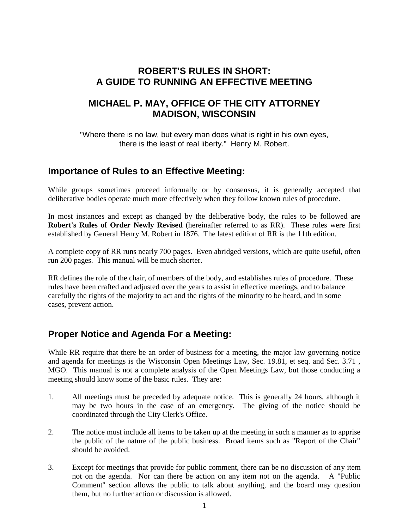#### **ROBERT'S RULES IN SHORT: A GUIDE TO RUNNING AN EFFECTIVE MEETING**

#### **MICHAEL P. MAY, OFFICE OF THE CITY ATTORNEY MADISON, WISCONSIN**

"Where there is no law, but every man does what is right in his own eyes, there is the least of real liberty." Henry M. Robert.

#### **Importance of Rules to an Effective Meeting:**

While groups sometimes proceed informally or by consensus, it is generally accepted that deliberative bodies operate much more effectively when they follow known rules of procedure.

In most instances and except as changed by the deliberative body, the rules to be followed are **Robert's Rules of Order Newly Revised** (hereinafter referred to as RR). These rules were first established by General Henry M. Robert in 1876. The latest edition of RR is the 11th edition.

A complete copy of RR runs nearly 700 pages. Even abridged versions, which are quite useful, often run 200 pages. This manual will be much shorter.

RR defines the role of the chair, of members of the body, and establishes rules of procedure. These rules have been crafted and adjusted over the years to assist in effective meetings, and to balance carefully the rights of the majority to act and the rights of the minority to be heard, and in some cases, prevent action.

### **Proper Notice and Agenda For a Meeting:**

While RR require that there be an order of business for a meeting, the major law governing notice and agenda for meetings is the Wisconsin Open Meetings Law, Sec. 19.81, et seq. and Sec. 3.71 , MGO. This manual is not a complete analysis of the Open Meetings Law, but those conducting a meeting should know some of the basic rules. They are:

- 1. All meetings must be preceded by adequate notice. This is generally 24 hours, although it may be two hours in the case of an emergency. The giving of the notice should be coordinated through the City Clerk's Office.
- 2. The notice must include all items to be taken up at the meeting in such a manner as to apprise the public of the nature of the public business. Broad items such as "Report of the Chair" should be avoided.
- 3. Except for meetings that provide for public comment, there can be no discussion of any item not on the agenda. Nor can there be action on any item not on the agenda. A "Public Comment" section allows the public to talk about anything, and the board may question them, but no further action or discussion is allowed.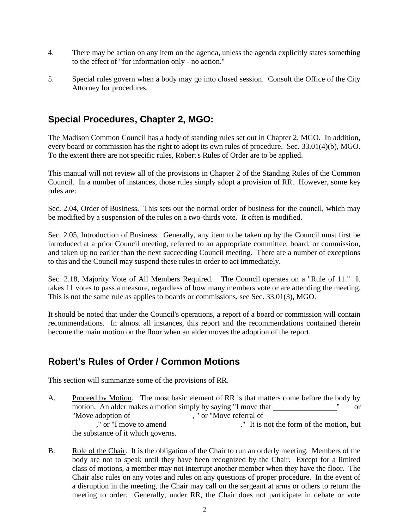- 4. There may be action on any item on the agenda, unless the agenda explicitly states something to the effect of "for information only - no action."
- 5. Special rules govern when a body may go into closed session. Consult the Office of the City Attorney for procedures.

## **Special Procedures, Chapter 2, MGO:**

The Madison Common Council has a body of standing rules set out in Chapter 2, MGO. In addition, every board or commission has the right to adopt its own rules of procedure. Sec. 33.01(4)(b), MGO. To the extent there are not specific rules, Robert's Rules of Order are to be applied.

This manual will not review all of the provisions in Chapter 2 of the Standing Rules of the Common Council. In a number of instances, those rules simply adopt a provision of RR. However, some key rules are:

Sec. 2.04, Order of Business. This sets out the normal order of business for the council, which may be modified by a suspension of the rules on a two-thirds vote. It often is modified.

Sec. 2.05, Introduction of Business. Generally, any item to be taken up by the Council must first be introduced at a prior Council meeting, referred to an appropriate committee, board, or commission, and taken up no earlier than the next succeeding Council meeting. There are a number of exceptions to this and the Council may suspend these rules in order to act immediately.

Sec. 2.18, Majority Vote of All Members Required. The Council operates on a "Rule of 11." It takes 11 votes to pass a measure, regardless of how many members vote or are attending the meeting. This is not the same rule as applies to boards or commissions, see Sec. 33.01(3), MGO.

It should be noted that under the Council's operations, a report of a board or commission will contain recommendations. In almost all instances, this report and the recommendations contained therein become the main motion on the floor when an alder moves the adoption of the report.

### **Robert's Rules of Order / Common Motions**

This section will summarize some of the provisions of RR.

- A. Proceed by Motion. The most basic element of RR is that matters come before the body by motion. An alder makes a motion simply by saying "I move that which is not contained by saying and  $\sim$  " or "Move adoption of \_\_\_\_\_\_\_\_\_\_\_\_\_\_\_\_," or "Move referral of ," or "I move to amend \_\_\_\_\_\_\_\_\_\_\_\_\_\_\_\_\_\_\_." It is not the form of the motion, but the substance of it which governs.
- B. Role of the Chair. It is the obligation of the Chair to run an orderly meeting. Members of the body are not to speak until they have been recognized by the Chair. Except for a limited class of motions, a member may not interrupt another member when they have the floor. The Chair also rules on any votes and rules on any questions of proper procedure. In the event of a disruption in the meeting, the Chair may call on the sergeant at arms or others to return the meeting to order. Generally, under RR, the Chair does not participate in debate or vote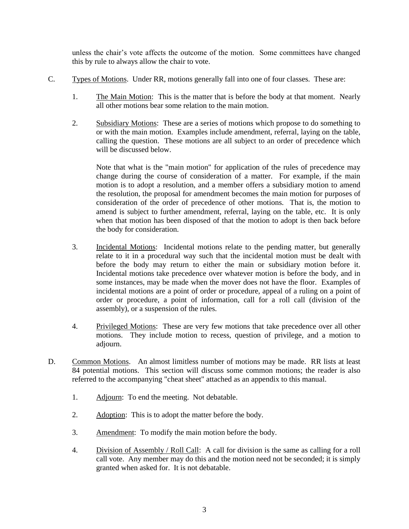unless the chair's vote affects the outcome of the motion. Some committees have changed this by rule to always allow the chair to vote.

- C. Types of Motions. Under RR, motions generally fall into one of four classes. These are:
	- 1. The Main Motion: This is the matter that is before the body at that moment. Nearly all other motions bear some relation to the main motion.
	- 2. Subsidiary Motions: These are a series of motions which propose to do something to or with the main motion. Examples include amendment, referral, laying on the table, calling the question. These motions are all subject to an order of precedence which will be discussed below.

Note that what is the "main motion" for application of the rules of precedence may change during the course of consideration of a matter. For example, if the main motion is to adopt a resolution, and a member offers a subsidiary motion to amend the resolution, the proposal for amendment becomes the main motion for purposes of consideration of the order of precedence of other motions. That is, the motion to amend is subject to further amendment, referral, laying on the table, etc. It is only when that motion has been disposed of that the motion to adopt is then back before the body for consideration.

- 3. Incidental Motions: Incidental motions relate to the pending matter, but generally relate to it in a procedural way such that the incidental motion must be dealt with before the body may return to either the main or subsidiary motion before it. Incidental motions take precedence over whatever motion is before the body, and in some instances, may be made when the mover does not have the floor. Examples of incidental motions are a point of order or procedure, appeal of a ruling on a point of order or procedure, a point of information, call for a roll call (division of the assembly), or a suspension of the rules.
- 4. Privileged Motions: These are very few motions that take precedence over all other motions. They include motion to recess, question of privilege, and a motion to adjourn.
- D. Common Motions. An almost limitless number of motions may be made. RR lists at least 84 potential motions. This section will discuss some common motions; the reader is also referred to the accompanying "cheat sheet" attached as an appendix to this manual.
	- 1. Adjourn: To end the meeting. Not debatable.
	- 2. Adoption: This is to adopt the matter before the body.
	- 3. Amendment: To modify the main motion before the body.
	- 4. Division of Assembly / Roll Call: A call for division is the same as calling for a roll call vote. Any member may do this and the motion need not be seconded; it is simply granted when asked for. It is not debatable.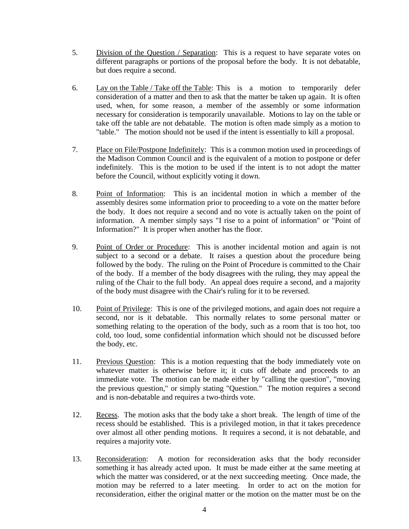- 5. Division of the Question / Separation: This is a request to have separate votes on different paragraphs or portions of the proposal before the body. It is not debatable, but does require a second.
- 6. Lay on the Table / Take off the Table: This is a motion to temporarily defer consideration of a matter and then to ask that the matter be taken up again. It is often used, when, for some reason, a member of the assembly or some information necessary for consideration is temporarily unavailable. Motions to lay on the table or take off the table are not debatable. The motion is often made simply as a motion to "table." The motion should not be used if the intent is essentially to kill a proposal.
- 7. Place on File/Postpone Indefinitely: This is a common motion used in proceedings of the Madison Common Council and is the equivalent of a motion to postpone or defer indefinitely. This is the motion to be used if the intent is to not adopt the matter before the Council, without explicitly voting it down.
- 8. Point of Information: This is an incidental motion in which a member of the assembly desires some information prior to proceeding to a vote on the matter before the body. It does not require a second and no vote is actually taken on the point of information. A member simply says "I rise to a point of information" or "Point of Information?" It is proper when another has the floor.
- 9. Point of Order or Procedure: This is another incidental motion and again is not subject to a second or a debate. It raises a question about the procedure being followed by the body. The ruling on the Point of Procedure is committed to the Chair of the body. If a member of the body disagrees with the ruling, they may appeal the ruling of the Chair to the full body. An appeal does require a second, and a majority of the body must disagree with the Chair's ruling for it to be reversed.
- 10. Point of Privilege: This is one of the privileged motions, and again does not require a second, nor is it debatable. This normally relates to some personal matter or something relating to the operation of the body, such as a room that is too hot, too cold, too loud, some confidential information which should not be discussed before the body, etc.
- 11. Previous Question: This is a motion requesting that the body immediately vote on whatever matter is otherwise before it; it cuts off debate and proceeds to an immediate vote. The motion can be made either by "calling the question", "moving the previous question," or simply stating "Question." The motion requires a second and is non-debatable and requires a two-thirds vote.
- 12. Recess. The motion asks that the body take a short break. The length of time of the recess should be established. This is a privileged motion, in that it takes precedence over almost all other pending motions. It requires a second, it is not debatable, and requires a majority vote.
- 13. Reconsideration: A motion for reconsideration asks that the body reconsider something it has already acted upon. It must be made either at the same meeting at which the matter was considered, or at the next succeeding meeting. Once made, the motion may be referred to a later meeting. In order to act on the motion for reconsideration, either the original matter or the motion on the matter must be on the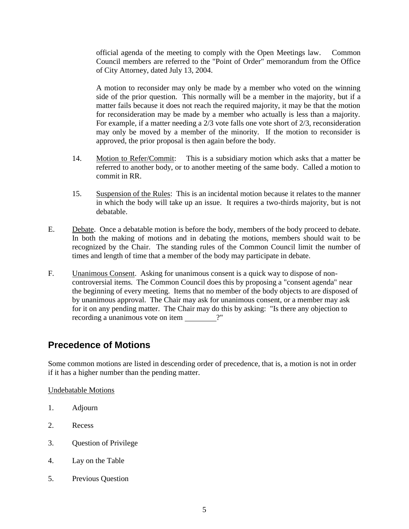official agenda of the meeting to comply with the Open Meetings law. Common Council members are referred to the "Point of Order" memorandum from the Office of City Attorney, dated July 13, 2004.

A motion to reconsider may only be made by a member who voted on the winning side of the prior question. This normally will be a member in the majority, but if a matter fails because it does not reach the required majority, it may be that the motion for reconsideration may be made by a member who actually is less than a majority. For example, if a matter needing a 2/3 vote falls one vote short of 2/3, reconsideration may only be moved by a member of the minority. If the motion to reconsider is approved, the prior proposal is then again before the body.

- 14. Motion to Refer/Commit: This is a subsidiary motion which asks that a matter be referred to another body, or to another meeting of the same body. Called a motion to commit in RR.
- 15. Suspension of the Rules: This is an incidental motion because it relates to the manner in which the body will take up an issue. It requires a two-thirds majority, but is not debatable.
- E. Debate. Once a debatable motion is before the body, members of the body proceed to debate. In both the making of motions and in debating the motions, members should wait to be recognized by the Chair. The standing rules of the Common Council limit the number of times and length of time that a member of the body may participate in debate.
- F. Unanimous Consent. Asking for unanimous consent is a quick way to dispose of noncontroversial items. The Common Council does this by proposing a "consent agenda" near the beginning of every meeting. Items that no member of the body objects to are disposed of by unanimous approval. The Chair may ask for unanimous consent, or a member may ask for it on any pending matter. The Chair may do this by asking: "Is there any objection to recording a unanimous vote on item ?"

### **Precedence of Motions**

Some common motions are listed in descending order of precedence, that is, a motion is not in order if it has a higher number than the pending matter.

Undebatable Motions

- 1. Adjourn
- 2. Recess
- 3. Question of Privilege
- 4. Lay on the Table
- 5. Previous Question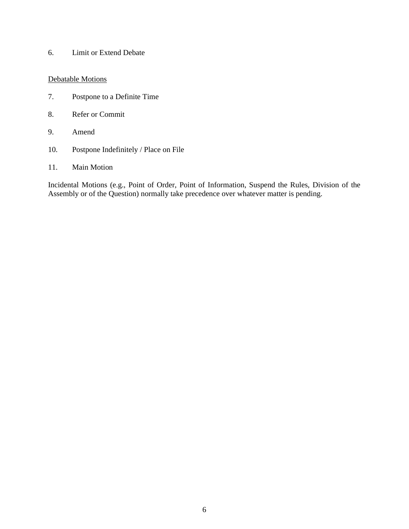6. Limit or Extend Debate

#### Debatable Motions

- 7. Postpone to a Definite Time
- 8. Refer or Commit
- 9. Amend
- 10. Postpone Indefinitely / Place on File
- 11. Main Motion

Incidental Motions (e.g., Point of Order, Point of Information, Suspend the Rules, Division of the Assembly or of the Question) normally take precedence over whatever matter is pending.